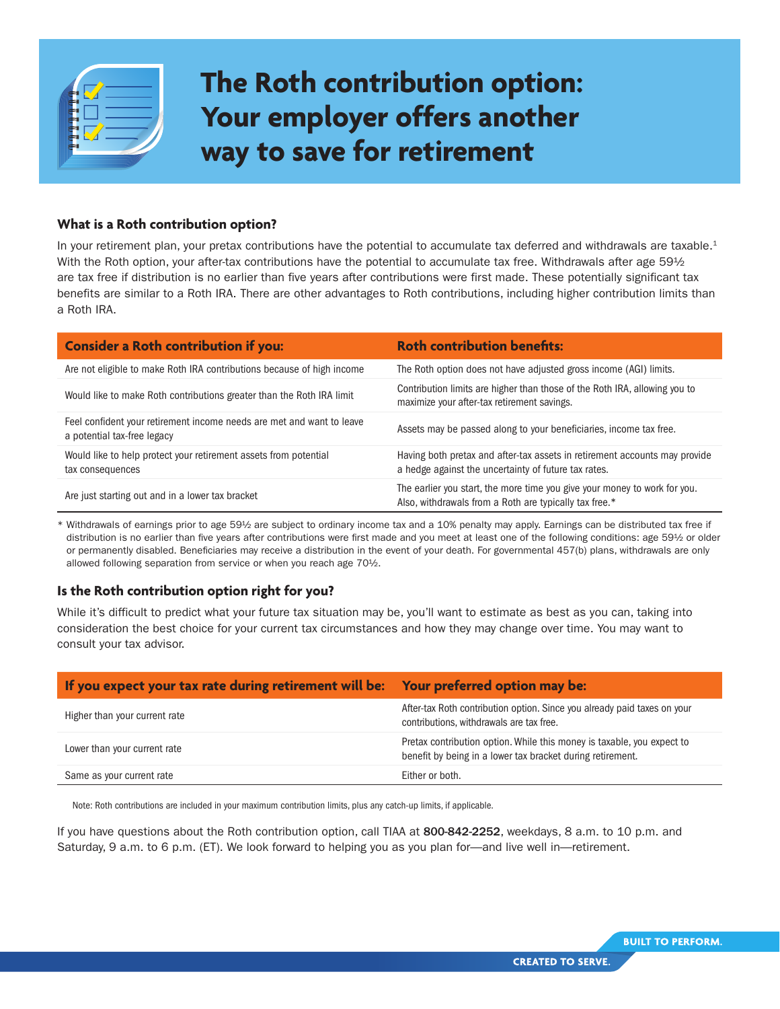

## **The Roth contribution option: Your employer offers another way to save for retirement**

## **What is a Roth contribution option?**

In your retirement plan, your pretax contributions have the potential to accumulate tax deferred and withdrawals are taxable. $1$ With the Roth option, your after-tax contributions have the potential to accumulate tax free. Withdrawals after age 59½ are tax free if distribution is no earlier than five years after contributions were first made. These potentially significant tax benefits are similar to a Roth IRA. There are other advantages to Roth contributions, including higher contribution limits than a Roth IRA.

| <b>Consider a Roth contribution if you:</b>                                                          | <b>Roth contribution benefits:</b>                                                                                                  |
|------------------------------------------------------------------------------------------------------|-------------------------------------------------------------------------------------------------------------------------------------|
| Are not eligible to make Roth IRA contributions because of high income                               | The Roth option does not have adjusted gross income (AGI) limits.                                                                   |
| Would like to make Roth contributions greater than the Roth IRA limit                                | Contribution limits are higher than those of the Roth IRA, allowing you to<br>maximize your after-tax retirement savings.           |
| Feel confident your retirement income needs are met and want to leave<br>a potential tax-free legacy | Assets may be passed along to your beneficiaries, income tax free.                                                                  |
| Would like to help protect your retirement assets from potential<br>tax consequences                 | Having both pretax and after-tax assets in retirement accounts may provide<br>a hedge against the uncertainty of future tax rates.  |
| Are just starting out and in a lower tax bracket                                                     | The earlier you start, the more time you give your money to work for you.<br>Also, withdrawals from a Roth are typically tax free.* |

Withdrawals of earnings prior to age 59½ are subject to ordinary income tax and a 10% penalty may apply. Earnings can be distributed tax free if distribution is no earlier than five years after contributions were first made and you meet at least one of the following conditions: age 59½ or older or permanently disabled. Beneficiaries may receive a distribution in the event of your death. For governmental 457(b) plans, withdrawals are only allowed following separation from service or when you reach age 70½.

## **Is the Roth contribution option right for you?**

While it's difficult to predict what your future tax situation may be, you'll want to estimate as best as you can, taking into consideration the best choice for your current tax circumstances and how they may change over time. You may want to consult your tax advisor.

| If you expect your tax rate during retirement will be: Your preferred option may be: |                                                                                                                                      |
|--------------------------------------------------------------------------------------|--------------------------------------------------------------------------------------------------------------------------------------|
| Higher than your current rate                                                        | After-tax Roth contribution option. Since you already paid taxes on your<br>contributions, withdrawals are tax free.                 |
| Lower than your current rate                                                         | Pretax contribution option. While this money is taxable, you expect to<br>benefit by being in a lower tax bracket during retirement. |
| Same as your current rate                                                            | Either or both.                                                                                                                      |

Note: Roth contributions are included in your maximum contribution limits, plus any catch-up limits, if applicable.

If you have questions about the Roth contribution option, call TIAA at 800-842-2252, weekdays, 8 a.m. to 10 p.m. and Saturday, 9 a.m. to 6 p.m. (ET). We look forward to helping you as you plan for—and live well in—retirement.

**CREATED TO SERVE.**